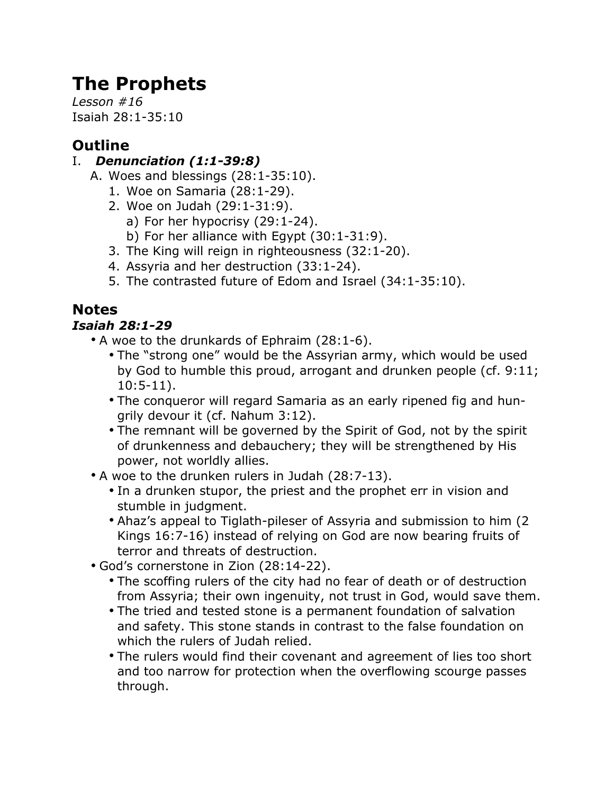# **The Prophets**

*Lesson #16* Isaiah 28:1-35:10

# **Outline**

## I. *Denunciation (1:1-39:8)*

- A. Woes and blessings (28:1-35:10).
	- 1. Woe on Samaria (28:1-29).
	- 2. Woe on Judah (29:1-31:9).
		- a) For her hypocrisy (29:1-24).
		- b) For her alliance with Egypt (30:1-31:9).
	- 3. The King will reign in righteousness (32:1-20).
	- 4. Assyria and her destruction (33:1-24).
	- 5. The contrasted future of Edom and Israel (34:1-35:10).

# **Notes**

# *Isaiah 28:1-29*

- A woe to the drunkards of Ephraim (28:1-6).
	- The "strong one" would be the Assyrian army, which would be used by God to humble this proud, arrogant and drunken people (cf. 9:11; 10:5-11).
	- The conqueror will regard Samaria as an early ripened fig and hungrily devour it (cf. Nahum 3:12).
	- The remnant will be governed by the Spirit of God, not by the spirit of drunkenness and debauchery; they will be strengthened by His power, not worldly allies.
- A woe to the drunken rulers in Judah (28:7-13).
	- In a drunken stupor, the priest and the prophet err in vision and stumble in judgment.
	- Ahaz's appeal to Tiglath-pileser of Assyria and submission to him (2 Kings 16:7-16) instead of relying on God are now bearing fruits of terror and threats of destruction.
- God's cornerstone in Zion (28:14-22).
	- The scoffing rulers of the city had no fear of death or of destruction from Assyria; their own ingenuity, not trust in God, would save them.
	- The tried and tested stone is a permanent foundation of salvation and safety. This stone stands in contrast to the false foundation on which the rulers of Judah relied.
	- The rulers would find their covenant and agreement of lies too short and too narrow for protection when the overflowing scourge passes through.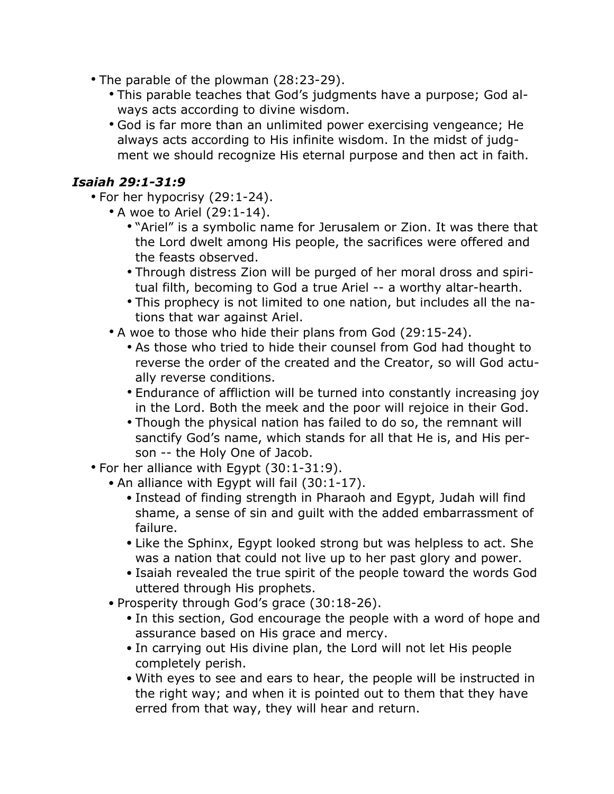- The parable of the plowman (28:23-29).
	- This parable teaches that God's judgments have a purpose; God always acts according to divine wisdom.
	- God is far more than an unlimited power exercising vengeance; He always acts according to His infinite wisdom. In the midst of judgment we should recognize His eternal purpose and then act in faith.

#### *Isaiah 29:1-31:9*

- For her hypocrisy (29:1-24).
	- A woe to Ariel (29:1-14).
		- "Ariel" is a symbolic name for Jerusalem or Zion. It was there that the Lord dwelt among His people, the sacrifices were offered and the feasts observed.
		- Through distress Zion will be purged of her moral dross and spiritual filth, becoming to God a true Ariel -- a worthy altar-hearth.
		- This prophecy is not limited to one nation, but includes all the nations that war against Ariel.
	- A woe to those who hide their plans from God (29:15-24).
		- As those who tried to hide their counsel from God had thought to reverse the order of the created and the Creator, so will God actually reverse conditions.
		- Endurance of affliction will be turned into constantly increasing joy in the Lord. Both the meek and the poor will rejoice in their God.
		- Though the physical nation has failed to do so, the remnant will sanctify God's name, which stands for all that He is, and His person -- the Holy One of Jacob.
- For her alliance with Egypt (30:1-31:9).
	- An alliance with Egypt will fail (30:1-17).
		- Instead of finding strength in Pharaoh and Egypt, Judah will find shame, a sense of sin and guilt with the added embarrassment of failure.
		- Like the Sphinx, Egypt looked strong but was helpless to act. She was a nation that could not live up to her past glory and power.
		- Isaiah revealed the true spirit of the people toward the words God uttered through His prophets.
	- Prosperity through God's grace (30:18-26).
		- In this section, God encourage the people with a word of hope and assurance based on His grace and mercy.
		- In carrying out His divine plan, the Lord will not let His people completely perish.
		- With eyes to see and ears to hear, the people will be instructed in the right way; and when it is pointed out to them that they have erred from that way, they will hear and return.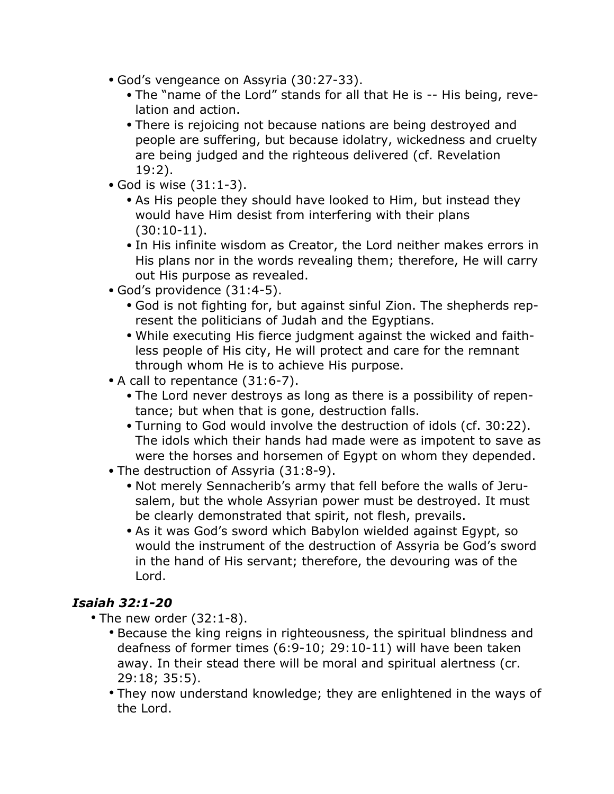- God's vengeance on Assyria (30:27-33).
	- The "name of the Lord" stands for all that He is -- His being, revelation and action.
	- There is rejoicing not because nations are being destroyed and people are suffering, but because idolatry, wickedness and cruelty are being judged and the righteous delivered (cf. Revelation 19:2).
- God is wise (31:1-3).
	- As His people they should have looked to Him, but instead they would have Him desist from interfering with their plans (30:10-11).
	- In His infinite wisdom as Creator, the Lord neither makes errors in His plans nor in the words revealing them; therefore, He will carry out His purpose as revealed.
- God's providence (31:4-5).
	- God is not fighting for, but against sinful Zion. The shepherds represent the politicians of Judah and the Egyptians.
	- While executing His fierce judgment against the wicked and faithless people of His city, He will protect and care for the remnant through whom He is to achieve His purpose.
- A call to repentance (31:6-7).
	- The Lord never destroys as long as there is a possibility of repentance; but when that is gone, destruction falls.
	- Turning to God would involve the destruction of idols (cf. 30:22). The idols which their hands had made were as impotent to save as were the horses and horsemen of Egypt on whom they depended.
- The destruction of Assyria (31:8-9).
	- Not merely Sennacherib's army that fell before the walls of Jerusalem, but the whole Assyrian power must be destroyed. It must be clearly demonstrated that spirit, not flesh, prevails.
	- As it was God's sword which Babylon wielded against Egypt, so would the instrument of the destruction of Assyria be God's sword in the hand of His servant; therefore, the devouring was of the Lord.

## *Isaiah 32:1-20*

- The new order (32:1-8).
	- Because the king reigns in righteousness, the spiritual blindness and deafness of former times (6:9-10; 29:10-11) will have been taken away. In their stead there will be moral and spiritual alertness (cr. 29:18; 35:5).
	- They now understand knowledge; they are enlightened in the ways of the Lord.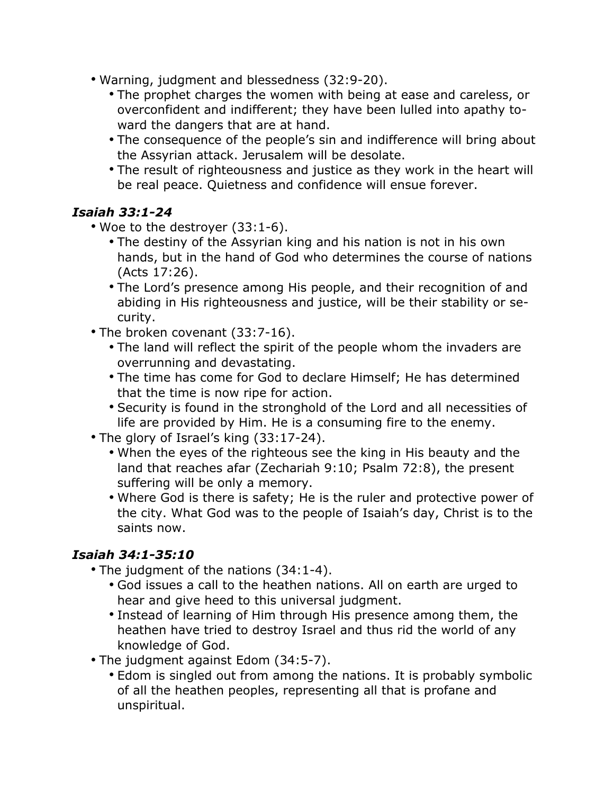- Warning, judgment and blessedness (32:9-20).
	- The prophet charges the women with being at ease and careless, or overconfident and indifferent; they have been lulled into apathy toward the dangers that are at hand.
	- The consequence of the people's sin and indifference will bring about the Assyrian attack. Jerusalem will be desolate.
	- The result of righteousness and justice as they work in the heart will be real peace. Quietness and confidence will ensue forever.

#### *Isaiah 33:1-24*

- Woe to the destroyer (33:1-6).
	- The destiny of the Assyrian king and his nation is not in his own hands, but in the hand of God who determines the course of nations (Acts 17:26).
	- The Lord's presence among His people, and their recognition of and abiding in His righteousness and justice, will be their stability or security.
- The broken covenant (33:7-16).
	- The land will reflect the spirit of the people whom the invaders are overrunning and devastating.
	- The time has come for God to declare Himself; He has determined that the time is now ripe for action.
	- Security is found in the stronghold of the Lord and all necessities of life are provided by Him. He is a consuming fire to the enemy.
- The glory of Israel's king (33:17-24).
	- When the eyes of the righteous see the king in His beauty and the land that reaches afar (Zechariah 9:10; Psalm 72:8), the present suffering will be only a memory.
	- Where God is there is safety; He is the ruler and protective power of the city. What God was to the people of Isaiah's day, Christ is to the saints now.

## *Isaiah 34:1-35:10*

- The judgment of the nations (34:1-4).
	- God issues a call to the heathen nations. All on earth are urged to hear and give heed to this universal judgment.
	- Instead of learning of Him through His presence among them, the heathen have tried to destroy Israel and thus rid the world of any knowledge of God.
- The judgment against Edom (34:5-7).
	- Edom is singled out from among the nations. It is probably symbolic of all the heathen peoples, representing all that is profane and unspiritual.